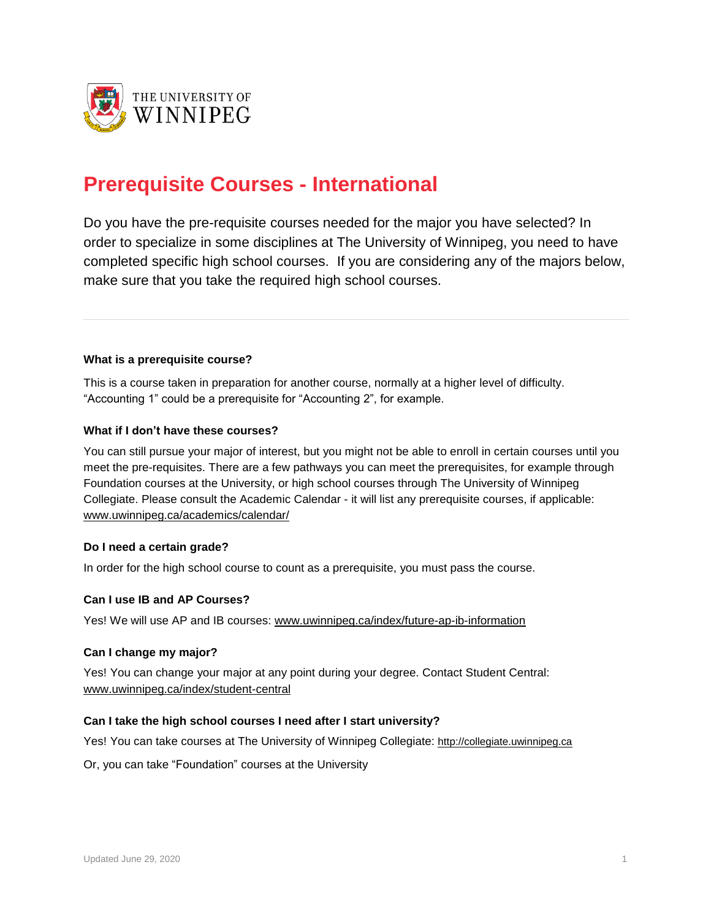

# **Prerequisite Courses - International**

Do you have the pre-requisite courses needed for the major you have selected? In order to specialize in some disciplines at The University of Winnipeg, you need to have completed specific high school courses. If you are considering any of the majors below, make sure that you take the required high school courses.

### **What is a prerequisite course?**

This is a course taken in preparation for another course, normally at a higher level of difficulty. "Accounting 1" could be a prerequisite for "Accounting 2", for example.

### **What if I don't have these courses?**

You can still pursue your major of interest, but you might not be able to enroll in certain courses until you meet the pre-requisites. There are a few pathways you can meet the prerequisites, for example through Foundation courses at the University, or high school courses through The University of Winnipeg Collegiate. Please consult the Academic Calendar - it will list any prerequisite courses, if applicable: [www.uwinnipeg.ca/academics/calendar/](http://www.uwinnipeg.ca/academics/calendar/)

### **Do I need a certain grade?**

In order for the high school course to count as a prerequisite, you must pass the course.

### **Can I use IB and AP Courses?**

Yes! We will use AP and IB courses: [www.uwinnipeg.ca/index/future-ap-ib-information](http://www.uwinnipeg.ca/index/future-ap-ib-information)

### **Can I change my major?**

Yes! You can change your major at any point during your degree. Contact Student Central: [www.uwinnipeg.ca/index/student-central](http://www.uwinnipeg.ca/index/student-central)

## **Can I take the high school courses I need after I start university?**

Yes! You can take courses at The University of Winnipeg Collegiate: [http://collegiate.uwinnipeg.ca](http://collegiate.uwinnipeg.ca/about.php)

Or, you can take "Foundation" courses at the University